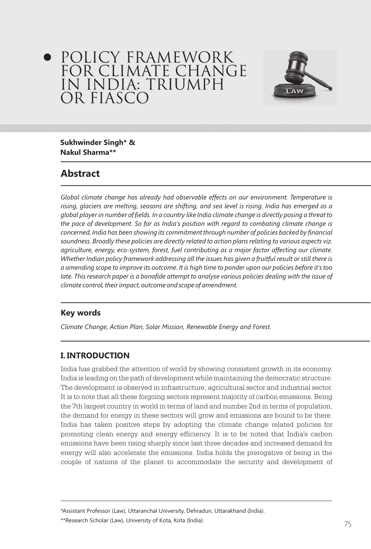# POLICY FRAMEWORK FOR CLIMATE CHANGE IN INDIA: TRIUMPH OR FIASCO



**Sukhwinder Singh\* & Nakul Sharma\*\*** 

# **Abstract**

*Global climate change has already had observable effects on our environment. Temperature is rising, glaciers are melting, seasons are shifting, and sea level is rising. India has emerged as a global player in number of fields. In a country like India climate change is directly posing a threat to the pace of development. So far as India's position with regard to combating climate change is concerned, India has been showing its commitment through number of policies backed by financial soundness. Broadly these policies are directly related to action plans relating to various aspects viz. agriculture, energy, eco-system, forest, fuel contributing as a major factor affecting our climate. Whether Indian policy framework addressing all the issues has given a fruitful result or still there is a amending scope to improve its outcome. It is high time to ponder upon our policies before it's too*  late. This research paper is a bonafide attempt to analyse various policies dealing with the issue of *climate control, their impact, outcome and scope of amendment.*

# **Key words**

*Climate Change, Action Plan, Solar Mission, Renewable Energy and Forest.*

# **I. INTRODUCTION**

India has grabbed the attention of world by showing consistent growth in its economy. India is leading on the path of development while maintaining the democratic structure. The development is observed in infrastructure, agricultural sector and industrial sector. It is to note that all these forgoing sectors represent majority of carbon emissions. Being the 7th largest country in world in terms of land and number 2nd in terms of population, the demand for energy in these sectors will grow and emissions are bound to be there. India has taken positive steps by adopting the climate change related policies for promoting clean energy and energy efficiency. It is to be noted that India's carbon emissions have been rising sharply since last three decades and increased demand for energy will also accelerate the emissions. India holds the prerogative of being in the couple of nations of the planet to accommodate the security and development of

\*Assistant Professor (Law), Uttaranchal University, Dehradun, Uttarakhand (India).

 $^{**}$ Research Scholar (Law), University of Kota, Kota (India).  $75\,$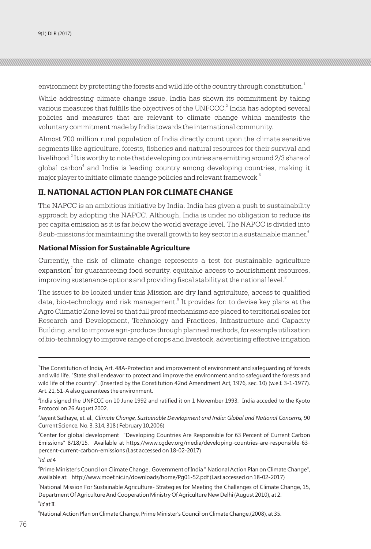environment by protecting the forests and wild life of the country through constitution. $^{\rm 1}$ 

While addressing climate change issue, India has shown its commitment by taking various measures that fulfills the objectives of the UNFCCC. $^{\rm 2}$  India has adopted several policies and measures that are relevant to climate change which manifests the voluntary commitment made by India towards the international community.

Almost 700 million rural population of India directly count upon the climate sensitive segments like agriculture, forests, fisheries and natural resources for their survival and livelihood.<sup>3</sup> It is worthy to note that developing countries are emitting around 2/3 share of global carbon<sup>4</sup> and India is leading country among developing countries, making it major player to initiate climate change policies and relevant framework.<sup>5</sup>

## **II. NATIONAL ACTION PLAN FOR CLIMATE CHANGE**

The NAPCC is an ambitious initiative by India. India has given a push to sustainability approach by adopting the NAPCC. Although, India is under no obligation to reduce its per capita emission as it is far below the world average level. The NAPCC is divided into 6 8 sub-missions for maintaining the overall growth to key sector in a sustainable manner.

#### **National Mission for Sustainable Agriculture**

Currently, the risk of climate change represents a test for sustainable agriculture  $\boldsymbol{\mathrm{ex}}$ pansion $^7$  for guaranteeing food security, equitable access to nourishment resources, improving sustenance options and providing fiscal stability at the national level. $^{\mathrm{s}}$ 

The issues to be looked under this Mission are dry land agriculture, access to qualified data, bio-technology and risk management.<sup>9</sup> It provides for: to devise key plans at the Agro Climatic Zone level so that full proof mechanisms are placed to territorial scales for Research and Development, Technology and Practices, Infrastructure and Capacity Building, and to improve agri-produce through planned methods, for example utilization of bio-technology to improve range of crops and livestock, advertising effective irrigation

5 *Id. at* 4

8 *Id* at II.

<sup>9</sup>National Action Plan on Climate Change, Prime Minister's Council on Climate Change,(2008), at 35.

<sup>1</sup> The Constitution of India, Art. 48A-Protection and improvement of environment and safeguarding of forests and wild life. "State shall endeavor to protect and improve the environment and to safeguard the forests and wild life of the country". (Inserted by the Constitution 42nd Amendment Act, 1976, sec. 10) (w.e.f. 3-1-1977). Art. 21, 51-A also guarantees the environment.

<sup>2</sup> India signed the UNFCCC on 10 June 1992 and ratified it on 1 November 1993. India acceded to the Kyoto Protocol on 26 August 2002.

<sup>3</sup> Jayant Sathaye, et. al., *Climate Change, Sustainable Development and India: Global and National Concerns,* 90 Current Science, No. 3, 314, 318 ( February 10,2006)

<sup>4</sup> Center for global development "Developing Countries Are Responsible for 63 Percent of Current Carbon Emissions" 8/18/15, Available at https://www.cgdev.org/media/developing-countries-are-responsible-63 percent-current-carbon-emissions (Last accessed on 18-02-2017)

<sup>6</sup> Prime Minister's Council on Climate Change , Government of India " National Action Plan on Climate Change", available at: http://www.moef.nic.in/downloads/home/Pg01-52.pdf (Last accessed on 18-02-2017)

<sup>7</sup>National Mission For Sustainable Agriculture- Strategies for Meeting the Challenges of Climate Change, 15, Department Of Agriculture And Cooperation Ministry Of Agriculture New Delhi (August 2010), at 2.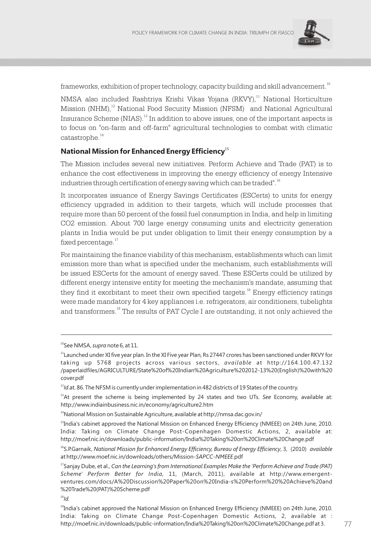

frameworks, exhibition of proper technology, capacity building and skill advancement.<sup>10</sup>

NMSA also included Rashtriya Krishi Vikas Yojana (RKVY),<sup>11</sup> National Horticulture Mission (NHM),<sup>12</sup> National Food Security Mission (NFSM) and National Agricultural Insurance Scheme (NIAS).<sup>13</sup> In addition to above issues, one of the important aspects is to focus on "on-farm and off-farm" agricultural technologies to combat with climatic catastrophe.<sup>14</sup>

#### <sup>15</sup> **National Mission for Enhanced Energy Efficiency**

The Mission includes several new initiatives. Perform Achieve and Trade (PAT) is to enhance the cost effectiveness in improving the energy efficiency of energy Intensive industries through certification of energy saving which can be traded".<sup>16</sup>

It incorporates issuance of Energy Savings Certificates (ESCerts) to units for energy efficiency upgraded in addition to their targets, which will include processes that require more than 50 percent of the fossil fuel consumption in India, and help in limiting CO2 emission. About 700 large energy consuming units and electricity generation plants in India would be put under obligation to limit their energy consumption by a fixed percentage.<sup>17</sup>

For maintaining the finance viability of this mechanism, establishments which can limit emission more than what is specified under the mechanism, such establishments will be issued ESCerts for the amount of energy saved. These ESCerts could be utilized by different energy intensive entity for meeting the mechanism's mandate, assuming that they find it exorbitant to meet their own specified targets.<sup>18</sup> Energy efficiency ratings were made mandatory for 4 key appliances i.e. refrigerators, air conditioners, tubelights and transformers.<sup>19</sup> The results of PAT Cycle I are outstanding, it not only achieved the

<sup>10</sup>See NMSA, *supra* note 6, at 11.

 $11$ Launched under XI five year plan. In the XI Five year Plan, Rs 27447 crores has been sanctioned under RKVY for taking up 5768 projects across various sectors, *available* at http://164.100.47.132 /paperlaidfiles/AGRICULTURE/State%20of%20Indian%20Agriculture%202012-13%20(English)%20with%20 cover.pdf

<sup>&</sup>lt;sup>12</sup>Id.at. 86. The NFSM is currently under implementation in 482 districts of 19 States of the country.

<sup>13</sup>At present the scheme is being implemented by 24 states and two UTs. *See* Economy, available at: http://www.indiainbusiness.nic.in/economy/agriculture2.htm

<sup>&</sup>lt;sup>14</sup>National Mission on Sustainable Agriculture, available at http://nmsa.dac.gov.in/

<sup>&</sup>lt;sup>15</sup>India's cabinet approved the National Mission on Enhanced Energy Efficiency (NMEEE) on 24th June, 2010. India: Taking on Climate Change Post-Copenhagen Domestic Actions, 2, available at: http://moef.nic.in/downloads/public-information/India%20Taking%20on%20Climate%20Change.pdf

<sup>&</sup>lt;sup>16</sup>S.P.Garnaik, National Mission for Enhanced Energy Efficiency, Bureau of Energy Efficiency, 3, (2010) *available* at http://www.moef.nic.in/downloads/others/Mission-*SAPCC-NMEEE*.pdf

<sup>&</sup>lt;sup>17</sup> Sanjay Dube, et al., *Can the Learning's from International Examples Make the 'Perform Achieve and Trade (PAT) Scheme' Perform Better for India,* 11, (March, 2011), available at http://www.emergentventures.com/docs/A%20Discussion%20Paper%20on%20India-s%20Perform%20%20Achieve%20and %20Trade%20(PAT)%20Scheme.pdf

<sup>&</sup>lt;sup>19</sup>India's cabinet approved the National Mission on Enhanced Energy Efficiency (NMEEE) on 24th June, 2010. India: Taking on Climate Change Post-Copenhagen Domestic Actions, 2, available at : http://moef.nic.in/downloads/public-information/India%20Taking%20on%20Climate%20Change.pdf at 3. 76 77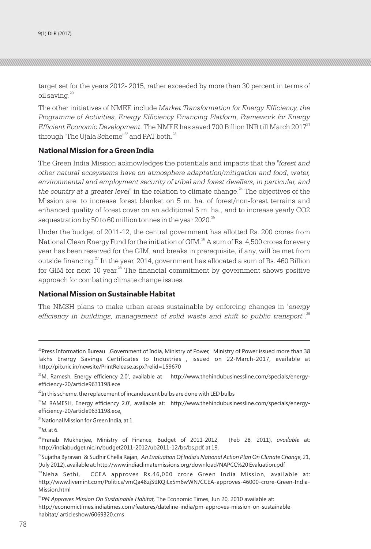target set for the years 2012- 2015, rather exceeded by more than 30 percent in terms of oil saving. $20$ 

The other initiatives of NMEE include *Market Transformation for Energy Efficiency, the Programme of Activities, Energy Efficiency Financing Platform, Framework for Energy*  <sup>21</sup> *Efficient Economic Development.* The NMEE has saved 700 Billion INR till March 2017 through "The Ujala Scheme"<sup>22</sup> and PAT both.<sup>23</sup>

#### **National Mission for a Green India**

The Green India Mission acknowledges the potentials and impacts that the *"forest and other natural ecosystems have on atmosphere adaptation/mitigation and food, water, environmental and employment security of tribal and forest dwellers, in particular, and*  the country at a greater level<sup>"</sup> in the relation to climate change.<sup>24</sup> The objectives of the Mission are: to increase forest blanket on 5 m. ha. of forest/non-forest terrains and enhanced quality of forest cover on an additional 5 m. ha., and to increase yearly CO2 sequestration by 50 to 60 million tonnes in the year 2020.<sup>25</sup>

Under the budget of 2011-12, the central government has allotted Rs. 200 crores from National Clean Energy Fund for the initiation of GIM. $^{26}$  A sum of Rs. 4,500 crores for every year has been reserved for the GIM, and breaks in prerequisite, if any, will be met from outside financing. $^{27}$  In the year, 2014, government has allocated a sum of Rs. 460 Billion for GIM for next 10 year. $28$  The financial commitment by government shows positive approach for combating climate change issues.

#### **National Mission on Sustainable Habitat**

The NMSH plans to make urban areas sustainable by enforcing changes in *"energy*  efficiency in buildings, management of solid waste and shift to public transport".<sup>29</sup>

<sup>24</sup>National Mission for Green India, at 1.

<sup>25</sup>*Id*. at 6.

<sup>26</sup>Pranab Mukherjee, Ministry of Finance, Budget of 2011-2012, (Feb 28, 2011), *available* at: http://indiabudget.nic.in/budget2011-2012/ub2011-12/bs/bs.pdf, at 19.

<sup>29</sup>PM Approves Mission On Sustainable Habitat, The Economic Times, Jun 20, 2010 available at: http://economictimes.indiatimes.com/features/dateline-india/pm-approves-mission-on-sustainablehabitat/ articleshow/6069320.cms

<sup>&</sup>lt;sup>20</sup>Press Information Bureau ,Government of India, Ministry of Power, Ministry of Power issued more than 38 lakhs Energy Savings Certificates to Industries , issued on 22-March-2017, available at http://pib.nic.in/newsite/PrintRelease.aspx?relid=159670

<sup>&</sup>lt;sup>21</sup>M. Ramesh, Energy efficiency 2.0', available at http://www.thehindubusinessline.com/specials/energyefficiency-20/article9631198.ece

 $^{22}$ In this scheme, the replacement of incandescent bulbs are done with LED bulbs

<sup>&</sup>lt;sup>23</sup>M RAMESH, Energy efficiency 2.0', available at: http://www.thehindubusinessline.com/specials/energyefficiency-20/article9631198.ece,

<sup>27</sup>Sujatha Byravan & Sudhir Chella Rajan, *An Evaluation Of India's National Action Plan On Climate Change*, 21, (July 2012), available at: http://www.indiaclimatemissions.org/download/NAPCC%20 Evaluation.pdf

 $^{28}$ Neha Sethi, CCEA approves Rs.46,000 crore Green India Mission, available at: http://www.livemint.com/Politics/vmQa48zjStIKQiLx5m6wWN/CCEA-approves-46000-crore-Green-India-Mission.html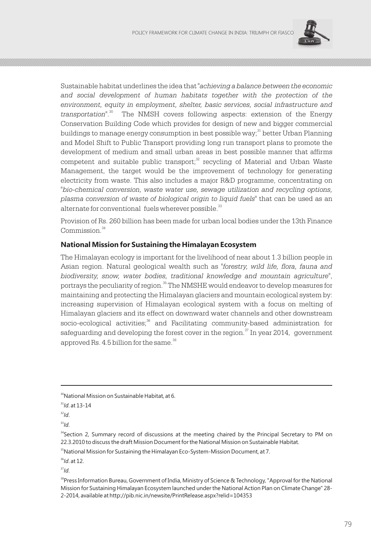

Sustainable habitat underlines the idea that *"achieving a balance between the economic*  and social development of human habitats together with the protection of the *environment, equity in employment, shelter, basic services, social infrastructure and*  <sup>30</sup> *transportation"*. The NMSH covers following aspects: extension of the Energy Conservation Building Code which provides for design of new and bigger commercial buildings to manage energy consumption in best possible way;<sup>31</sup> better Urban Planning and Model Shift to Public Transport providing long run transport plans to promote the development of medium and small urban areas in best possible manner that affirms competent and suitable public transport;<sup>32</sup> recycling of Material and Urban Waste Management, the target would be the improvement of technology for generating electricity from waste. This also includes a major R&D programme, concentrating on *"bio-chemical conversion, waste water use, sewage utilization and recycling options, plasma conversion of waste of biological origin to liquid fuels"* that can be used as an alternate for conventional fuels wherever possible.<sup>33</sup>

Provision of Rs. 260 billion has been made for urban local bodies under the 13th Finance Commission<sup>34</sup>

#### **National Mission for Sustaining the Himalayan Ecosystem**

The Himalayan ecology is important for the livelihood of near about 1.3 billion people in Asian region. Natural geological wealth such as *"forestry, wild life, flora, fauna and biodiversity, snow, water bodies, traditional knowledge and mountain agriculture"*, portrays the peculiarity of region.<sup>35</sup> The NMSHE would endeavor to develop measures for maintaining and protecting the Himalayan glaciers and mountain ecological system by: increasing supervision of Himalayan ecological system with a focus on melting of Himalayan glaciers and its effect on downward water channels and other downstream  $\rm{15}$  socio-ecological activities; $\rm{36}$  and Facilitating community-based administration for safeguarding and developing the forest cover in the region. $\sigma$  In year 2014, government approved Rs. 4.5 billion for the same.<sup>38</sup>

<sup>33</sup>*Id*.

<sup>35</sup>National Mission for Sustaining the Himalayan Eco-System-Mission Document, at 7.

<sup>36</sup>*Id*. at 12.

 $37/d$ .

<sup>&</sup>lt;sup>30</sup>National Mission on Sustainable Habitat, at 6.

<sup>31</sup>*Id*. at 13-14

<sup>32</sup>*Id*.

<sup>&</sup>lt;sup>34</sup>Section 2, Summary record of discussions at the meeting chaired by the Principal Secretary to PM on 22.3.2010 to discuss the draft Mission Document for the National Mission on Sustainable Habitat.

<sup>&</sup>lt;sup>38</sup>Press Information Bureau, Government of India, Ministry of Science & Technology, "Approval for the National Mission for Sustaining Himalayan Ecosystem launched under the National Action Plan on Climate Change" 28- 2-2014, available at http://pib.nic.in/newsite/PrintRelease.aspx?relid=104353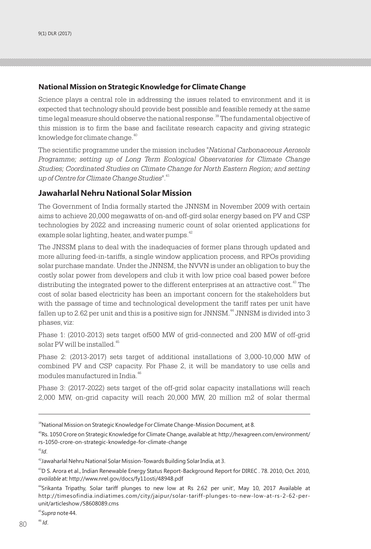### **National Mission on Strategic Knowledge for Climate Change**

Science plays a central role in addressing the issues related to environment and it is expected that technology should provide best possible and feasible remedy at the same time legal measure should observe the national response.<sup>39</sup> The fundamental objective of this mission is to firm the base and facilitate research capacity and giving strategic knowledge for climate change.<sup>40</sup>

The scientific programme under the mission includes *"National Carbonaceous Aerosols Programme; setting up of Long Term Ecological Observatories for Climate Change Studies; Coordinated Studies on Climate Change for North Eastern Region; and setting*  <sup>41</sup> *up of Centre for Climate Change Studies"*.

## **Jawaharlal Nehru National Solar Mission**

The Government of India formally started the JNNSM in November 2009 with certain aims to achieve 20,000 megawatts of on-and off-gird solar energy based on PV and CSP technologies by 2022 and increasing numeric count of solar oriented applications for example solar lighting, heater, and water pumps.<sup>42</sup>

The JNSSM plans to deal with the inadequacies of former plans through updated and more alluring feed-in-tariffs, a single window application process, and RPOs providing solar purchase mandate. Under the JNNSM, the NVVN is under an obligation to buy the costly solar power from developers and club it with low price coal based power before distributing the integrated power to the different enterprises at an attractive cost.<sup>43</sup> The cost of solar based electricity has been an important concern for the stakeholders but with the passage of time and technological development the tariff rates per unit have fallen up to 2.62 per unit and this is a positive sign for JNNSM.<sup>44</sup> JNNSM is divided into 3 phases, viz:

Phase 1: (2010-2013) sets target of500 MW of grid-connected and 200 MW of off-grid solar PV will be installed.<sup>45</sup>

Phase 2: (2013-2017) sets target of additional installations of 3,000-10,000 MW of combined PV and CSP capacity. For Phase 2, it will be mandatory to use cells and modules manufactured in India.<sup>46</sup>

Phase 3: (2017-2022) sets target of the off-grid solar capacity installations will reach 2,000 MW, on-grid capacity will reach 20,000 MW, 20 million m2 of solar thermal

<sup>41</sup>*Id*.

<sup>45</sup>*Supra* note 44. <sup>46</sup> *Id*.

<sup>&</sup>lt;sup>39</sup>National Mission on Strategic Knowledge For Climate Change-Mission Document, at 8.

<sup>40</sup>Rs. 1050 Crore on Strategic Knowledge for Climate Change, available at: http://hexagreen.com/environment/ rs-1050-crore-on-strategic-knowledge-for-climate-change

<sup>42</sup>Jawaharlal Nehru National Solar Mission-Towards Building Solar India, at 3.

 $43D$  S. Arora et al., Indian Renewable Energy Status Report-Background Report for DIREC . 78. 2010, Oct. 2010, *available* at: http://www.nrel.gov/docs/fy11osti/48948.pdf

<sup>&</sup>lt;sup>44</sup>Srikanta Tripathy, Solar tariff plunges to new low at Rs 2.62 per unit', May 10, 2017 Available at http://timesofindia.indiatimes.com/city/jaipur/solar-tariff-plunges-to-new-low-at-rs-2-62-perunit/articleshow /58608089.cms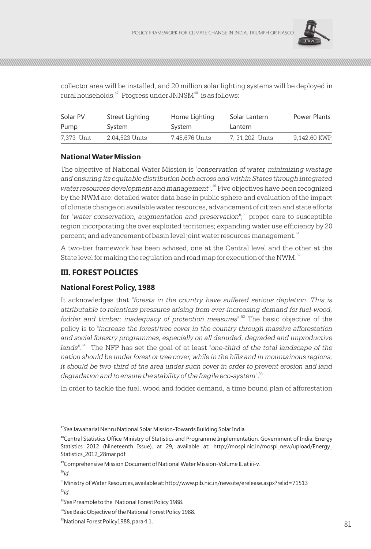

collector area will be installed, and 20 million solar lighting systems will be deployed in rural households.<sup>47</sup> Progress under JNNSM<sup>48</sup> is as follows:

| Solar PV   | Street Lighting | Home Lighting  | Solar Lantern  | Power Plants |
|------------|-----------------|----------------|----------------|--------------|
| Pump       | System          | System         | Lantern        |              |
| 7.373 Unit | 2.04.523 Units  | 7.48.676 Units | 7.31.202 Units | 9.142.60 KWP |

### **National Water Mission**

The objective of National Water Mission is *"conservation of water, minimizing wastage and ensuring its equitable distribution both across and within States through integrated*  water resources development and management<sup>". 49</sup> Five objectives have been recognized by the NWM are: detailed water data base in public sphere and evaluation of the impact of climate change on available water resources, advancement of citizen and state efforts <sup>50</sup> for *"water conservation, augmentation and preservation"*; proper care to susceptible region incorporating the over exploited territories; expanding water use efficiency by 20 percent; and advancement of basin level joint water resources management.<sup>51</sup>

A two-tier framework has been advised, one at the Central level and the other at the State level for making the regulation and road map for execution of the NWM.  $52$ 

# **III. FOREST POLICIES**

# **National Forest Policy, 1988**

It acknowledges that *"forests in the country have suffered serious depletion. This is attributable to relentless pressures arising from ever-increasing demand for fuel-wood,*  <sup>53</sup> *fodder and timber; inadequacy of protection measures"*. The basic objective of the policy is to *"increase the forest/tree cover in the country through massive afforestation and social forestry programmes, especially on all denuded, degraded and unproductive*  <sup>54</sup> *lands"*. The NFP has set the goal of at least *"one-third of the total landscape of the nation should be under forest or tree cover, while in the hills and in mountainous regions, it should be two-third of the area under such cover in order to prevent erosion and land*  <sup>55</sup> *degradation and to ensure the stability of the fragile eco-system"*.

In order to tackle the fuel, wood and fodder demand, a time bound plan of afforestation

<sup>49</sup>Comprehensive Mission Document of National Water Mission-Volume II, at iii-v.

<sup>47</sup>*See* Jawaharlal Nehru National Solar Mission-Towards Building Solar India

<sup>&</sup>lt;sup>48</sup>Central Statistics Office Ministry of Statistics and Programme Implementation, Government of India, Energy Statistics 2012 (Nineteenth Issue), at 29, available at: http://mospi.nic.in/mospi\_new/upload/Energy\_ Statistics\_2012\_28mar.pdf

<sup>51</sup>Ministry of Water Resources, available at: http://www.pib.nic.in/newsite/erelease.aspx?relid=71513 <sup>52</sup>*Id*.

<sup>53</sup>*See* Preamble to the National Forest Policy 1988.

<sup>54</sup>*See* Basic Objective of the National Forest Policy 1988.

<sup>&</sup>lt;sup>55</sup>National Forest Policy 1988, para 4.1. National Forest Policy 1988, para 4.1.  $81$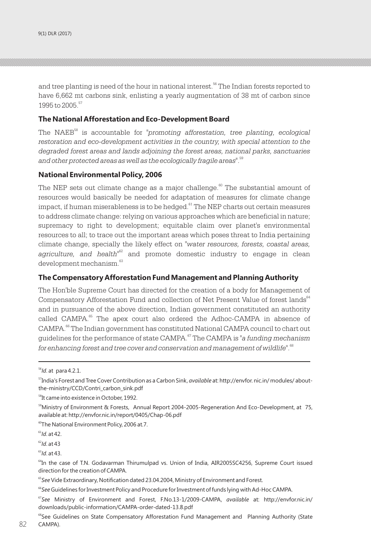and tree planting is need of the hour in national interest.<sup>56</sup> The Indian forests reported to have 6,662 mt carbons sink, enlisting a yearly augmentation of 38 mt of carbon since 1995 to 2005<sup>57</sup>

#### **The National Afforestation and Eco-Development Board**

The NAEB<sup>58</sup> is accountable for "promoting afforestation, tree planting, ecological restoration and eco-development activities in the country, with special attention to the *degraded forest areas and lands adjoining the forest areas, national parks, sanctuaries*  <sup>59</sup> *and other protected areas as well as the ecologically fragile areas"*.

#### **National Environmental Policy, 2006**

The NEP sets out climate change as a major challenge.<sup>60</sup> The substantial amount of resources would basically be needed for adaptation of measures for climate change  $\frac{1}{2}$  impact, if human miserableness is to be hedged.  $\frac{61}{2}$  The NEP charts out certain measures to address climate change: relying on various approaches which are beneficial in nature; supremacy to right to development; equitable claim over planet's environmental resources to all; to trace out the important areas which poses threat to India pertaining climate change, specially the likely effect on *"water resources, forests, coastal areas,*  agriculture, and health<sup>"62</sup> and promote domestic industry to engage in clean development mechanism.<sup>63</sup>

#### **The Compensatory Afforestation Fund Management and Planning Authority**

The Hon'ble Supreme Court has directed for the creation of a body for Management of Compensatory Afforestation Fund and collection of Net Present Value of forest lands<sup>64</sup> and in pursuance of the above direction, Indian government constituted an authority called CAMPA.<sup>65</sup> The apex court also ordered the Adhoc-CAMPA in absence of CAMPA.<sup>66</sup> The Indian government has constituted National CAMPA council to chart out <sup>67</sup> guidelines for the performance of state CAMPA. The CAMPA is *"a funding mechanism*  for enhancing forest and tree cover and conservation and management of wildlife".<sup>68</sup>

<sup>60</sup>The National Environment Policy, 2006 at.7.

<sup>61</sup>*Id*. at 42.

<sup>63</sup>*Id*. at 43.

<sup>56</sup>*Id*. at para 4.2.1.

<sup>57</sup>India's Forest and Tree Cover Contribution as a Carbon Sink, *available* at: http://envfor. nic.in/ modules/ aboutthe-ministry/CCD/Contri\_carbon\_sink.pdf

<sup>&</sup>lt;sup>58</sup>It came into existence in October, 1992.

<sup>&</sup>lt;sup>59</sup>Ministry of Environment & Forests, Annual Report 2004-2005-Regeneration And Eco-Development, at 75, available at: http://envfor.nic.in/report/0405/Chap-06.pdf

<sup>62</sup>*Id*. at 43

<sup>&</sup>lt;sup>64</sup>In the case of T.N. Godavarman Thirumulpad vs. Union of India, AIR2005SC4256, Supreme Court issued direction for the creation of CAMPA.

<sup>&</sup>lt;sup>65</sup>See Vide Extraordinary, Notification dated 23.04.2004, Ministry of Environment and Forest.

<sup>66</sup>*See* Guidelines for Investment Policy and Procedure for Investment of funds lying with Ad-Hoc CAMPA.

<sup>67</sup>*See* Ministry of Environment and Forest, F.No.13-1/2009-CAMPA, *available* at: http://envfor.nic.in/ downloads/public-information/CAMPA-order-dated-13.8.pdf

<sup>&</sup>lt;sup>68</sup>See Guidelines on State Compensatory Afforestation Fund Management and Planning Authority (State CAMPA). 82 CAMPA).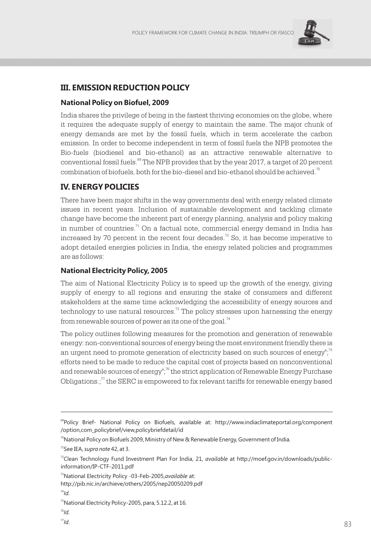

# **III. EMISSION REDUCTION POLICY**

#### **National Policy on Biofuel, 2009**

India shares the privilege of being in the fastest thriving economies on the globe, where it requires the adequate supply of energy to maintain the same. The major chunk of energy demands are met by the fossil fuels, which in term accelerate the carbon emission. In order to become independent in term of fossil fuels the NPB promotes the Bio-fuels (biodiesel and bio-ethanol) as an attractive renewable alternative to conventional fossil fuels.<sup>69</sup> The NPB provides that by the year 2017, a target of 20 percent combination of biofuels, both for the bio-diesel and bio-ethanol should be achieved.  $\degree$ 

# **IV. ENERGY POLICIES**

There have been major shifts in the way governments deal with energy related climate issues in recent years. Inclusion of sustainable development and tackling climate change have become the inherent part of energy planning, analysis and policy making in number of countries.<sup> $71$ </sup> On a factual note, commercial energy demand in India has increased by 70 percent in the recent four decades.<sup> $22$ </sup> So, it has become imperative to adopt detailed energies policies in India, the energy related policies and programmes are as follows:

#### **National Electricity Policy, 2005**

The aim of National Electricity Policy is to speed up the growth of the energy, giving supply of energy to all regions and ensuring the stake of consumers and different stakeholders at the same time acknowledging the accessibility of energy sources and  $\alpha$ <sup>73</sup> technology to use natural resources.<sup>73</sup> The policy stresses upon harnessing the energy from renewable sources of power as its one of the goal.<sup>74</sup>

The policy outlines following measures for the promotion and generation of renewable energy: non-conventional sources of energy being the most environment friendly there is an urgent need to promote generation of electricity based on such sources of energy";  $\frac{75}{10}$ efforts need to be made to reduce the capital cost of projects based on nonconventional and renewable sources of energy<sup>"; 76</sup> the strict application of Renewable Energy Purchase Obligations.; $\pi$  the SERC is empowered to fix relevant tariffs for renewable energy based

<sup>&</sup>lt;sup>69</sup>Policy Brief- National Policy on Biofuels, available at: http://www.indiaclimateportal.org/component /option,com\_policybrief/view,policybriefdetail/id

 $^{70}$ National Policy on Biofuels 2009, Ministry of New & Renewable Energy, Government of India.

<sup>71</sup>See IEA, *supra note* 42, at 3.

<sup>72</sup>Clean Technology Fund Investment Plan For India, 21, *available* at http://moef.gov.in/downloads/publicinformation/IP-CTF-2011.pdf

<sup>73</sup>National Electricity Policy -03-Feb-2005,*available* at:

http://pib.nic.in/archieve/others/2005/nep20050209.pdf

<sup>&</sup>lt;sup>75</sup>National Electricity Policy-2005, para, 5.12.2, at 16.

<sup>76</sup>*Id*.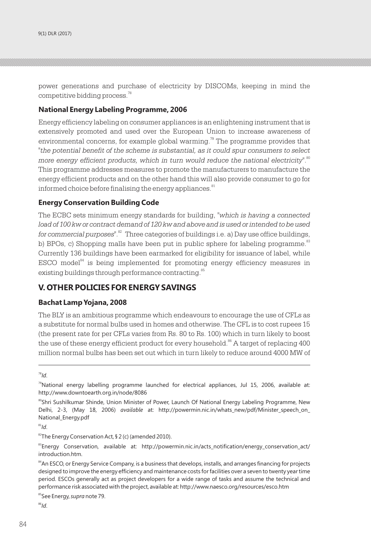power generations and purchase of electricity by DISCOMs, keeping in mind the competitive bidding process.<sup>78</sup>

#### **National Energy Labeling Programme, 2006**

Energy efficiency labeling on consumer appliances is an enlightening instrument that is extensively promoted and used over the European Union to increase awareness of environmental concerns, for example global warming.<sup>79</sup> The programme provides that *"the potential benefit of the scheme is substantial, as it could spur consumers to select*  more energy efficient products, which in turn would reduce the national electricity".<sup>80</sup> This programme addresses measures to promote the manufacturers to manufacture the energy efficient products and on the other hand this will also provide consumer to go for informed choice before finalising the energy appliances.<sup>81</sup>

#### **Energy Conservation Building Code**

The ECBC sets minimum energy standards for building, *"which is having a connected load of 100 kw or contract demand of 120 kw and above and is used or intended to be used*  <sup>82</sup> *for commercial purposes"*. Three categories of buildings i.e. a) Day use office buildings, b) BPOs, c) Shopping malls have been put in public sphere for labeling programme.<sup>83</sup> Currently 136 buildings have been earmarked for eligibility for issuance of label, while  $ESCO model<sup>84</sup>$  is being implemented for promoting energy efficiency measures in existing buildings through performance contracting.<sup>85</sup>

# **V. OTHER POLICIES FOR ENERGY SAVINGS**

#### **Bachat Lamp Yojana, 2008**

The BLY is an ambitious programme which endeavours to encourage the use of CFLs as a substitute for normal bulbs used in homes and otherwise. The CFL is to cost rupees 15 (the present rate for per CFLs varies from Rs. 80 to Rs. 100) which in turn likely to boost the use of these energy efficient product for every household.<sup>86</sup> A target of replacing  $400$ million normal bulbs has been set out which in turn likely to reduce around 4000 MW of

<sup>78</sup>*Id*.

 $^{81}$ *Id.* 

<sup>82</sup>The Energy Conservation Act, § 2 (c) (amended 2010).

<sup>83</sup>Energy Conservation, available at: http://powermin.nic.in/acts\_notification/energy\_conservation\_act/ introduction.htm.

<sup>84</sup>An ESCO, or Energy Service Company, is a business that develops, installs, and arranges financing for projects designed to improve the energy efficiency and maintenance costs for facilities over a seven to twenty year time period. ESCOs generally act as project developers for a wide range of tasks and assume the technical and performance risk associated with the project, available at: http://www.naesco.org/resources/esco.htm

<sup>85</sup>See Energy, *supra* note 79.

<sup>&</sup>lt;sup>79</sup>National energy labelling programme launched for electrical appliances, Jul 15, 2006, available at: http://www.downtoearth.org.in/node/8086

<sup>80</sup>Shri Sushilkumar Shinde, Union Minister of Power, Launch Of National Energy Labeling Programme, New Delhi, 2-3, (May 18, 2006) *available* at: http://powermin.nic.in/whats\_new/pdf/Minister\_speech\_on\_ National\_Energy.pdf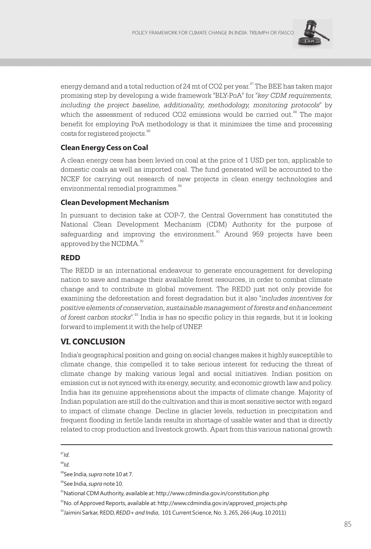

energy demand and a total reduction of 24 mt of CO2 per year.<sup>87</sup> The BEE has taken major promising step by developing a wide framework "BLY-PoA" for *"key CDM requirements, including the project baseline, additionality, methodology, monitoring protocols"* by which the assessment of reduced CO2 emissions would be carried out.<sup>88</sup> The major benefit for employing PoA methodology is that it minimizes the time and processing costs for registered projects.<sup>89</sup>

## **Clean Energy Cess on Coal**

A clean energy cess has been levied on coal at the price of 1 USD per ton, applicable to domestic coals as well as imported coal. The fund generated will be accounted to the NCEF for carrying out research of new projects in clean energy technologies and environmental remedial programmes.<sup>90</sup>

#### **Clean Development Mechanism**

In pursuant to decision take at COP-7, the Central Government has constituted the National Clean Development Mechanism (CDM) Authority for the purpose of safeguarding and improving the environment. $91$  Around 959 projects have been approved by the NCDMA.<sup>92</sup>

### **REDD**

The REDD is an international endeavour to generate encouragement for developing nation to save and manage their available forest resources, in order to combat climate change and to contribute in global movement. The REDD just not only provide for examining the deforestation and forest degradation but it also *"includes incentives for positive elements of conservation, sustainable management of forests and enhancement*  of forest carbon stocks<sup>". 33</sup> India is has no specific policy in this regards, but it is looking forward to implement it with the help of UNEP.

# **VI. CONCLUSION**

India's geographical position and going on social changes makes it highly susceptible to climate change, this compelled it to take serious interest for reducing the threat of climate change by making various legal and social initiatives. Indian position on emission cut is not synced with its energy, security, and economic growth law and policy. India has its genuine apprehensions about the impacts of climate change. Majority of Indian population are still do the cultivation and this is most sensitive sector with regard to impact of climate change. Decline in glacier levels, reduction in precipitation and frequent flooding in fertile lands results in shortage of usable water and that is directly related to crop production and livestock growth. Apart from this various national growth

<sup>87</sup>*Id*.

<sup>89</sup>See India, *supra* note 10 at 7.

<sup>90</sup>See India, *supra* note 10.

<sup>91</sup>National CDM Authority, available at: http://www.cdmindia.gov.in/constitution.php

<sup>92</sup>No. of Approved Reports, available at: http://www.cdmindia.gov.in/approved\_projects.php

<sup>93</sup>Jaimini Sarkar, REDD, *REDD+ and India*, 101 Current Science, No. 3, 265, 266 (Aug. 10 2011)